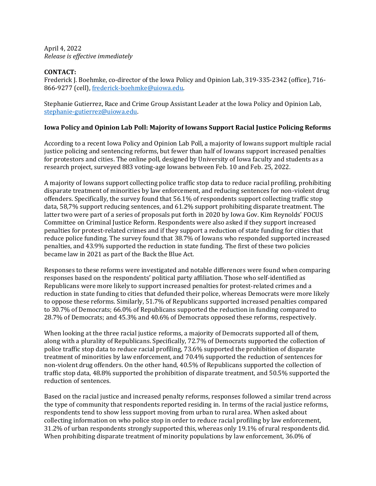April 4, 2022 *Release is effective immediately*

## **CONTACT:**

Frederick J. Boehmke, co-director of the Iowa Policy and Opinion Lab, 319-335-2342 (office), 716- 866-9277 (cell), [frederick-boehmke@uiowa.edu.](mailto:frederick-boehmke@uiowa.edu)

Stephanie Gutierrez, Race and Crime Group Assistant Leader at the Iowa Policy and Opinion Lab, [stephanie-gutierrez@uiowa.edu.](mailto:stephanie-gutierrez@uiowa.edu)

## **Iowa Policy and Opinion Lab Poll: Majority of Iowans Support Racial Justice Policing Reforms**

According to a recent Iowa Policy and Opinion Lab Poll, a majority of Iowans support multiple racial justice policing and sentencing reforms, but fewer than half of Iowans support increased penalties for protestors and cities. The online poll, designed by University of Iowa faculty and students as a research project, surveyed 883 voting-age Iowans between Feb. 10 and Feb. 25, 2022.

A majority of Iowans support collecting police traffic stop data to reduce racial profiling, prohibiting disparate treatment of minorities by law enforcement, and reducing sentences for non-violent drug offenders. Specifically, the survey found that 56.1% of respondents support collecting traffic stop data, 58,7% support reducing sentences, and 61.2% support prohibiting disparate treatment. The latter two were part of a series of proposals put forth in 2020 by Iowa Gov. Kim Reynolds' FOCUS Committee on Criminal Justice Reform. Respondents were also asked if they support increased penalties for protest-related crimes and if they support a reduction of state funding for cities that reduce police funding. The survey found that 38.7% of Iowans who responded supported increased penalties, and 43.9% supported the reduction in state funding. The first of these two policies became law in 2021 as part of the Back the Blue Act.

Responses to these reforms were investigated and notable differences were found when comparing responses based on the respondents' political party affiliation. Those who self-identified as Republicans were more likely to support increased penalties for protest-related crimes and a reduction in state funding to cities that defunded their police, whereas Democrats were more likely to oppose these reforms. Similarly, 51.7% of Republicans supported increased penalties compared to 30.7% of Democrats; 66.0% of Republicans supported the reduction in funding compared to 28.7% of Democrats; and 45.3% and 40.6% of Democrats opposed these reforms, respectively.

When looking at the three racial justice reforms, a majority of Democrats supported all of them, along with a plurality of Republicans. Specifically, 72.7% of Democrats supported the collection of police traffic stop data to reduce racial profiling, 73.6% supported the prohibition of disparate treatment of minorities by law enforcement, and 70.4% supported the reduction of sentences for non-violent drug offenders. On the other hand, 40.5% of Republicans supported the collection of traffic stop data, 48.8% supported the prohibition of disparate treatment, and 50.5% supported the reduction of sentences.

Based on the racial justice and increased penalty reforms, responses followed a similar trend across the type of community that respondents reported residing in. In terms of the racial justice reforms, respondents tend to show less support moving from urban to rural area. When asked about collecting information on who police stop in order to reduce racial profiling by law enforcement, 31.2% of urban respondents strongly supported this, whereas only 19.1% of rural respondents did. When prohibiting disparate treatment of minority populations by law enforcement, 36.0% of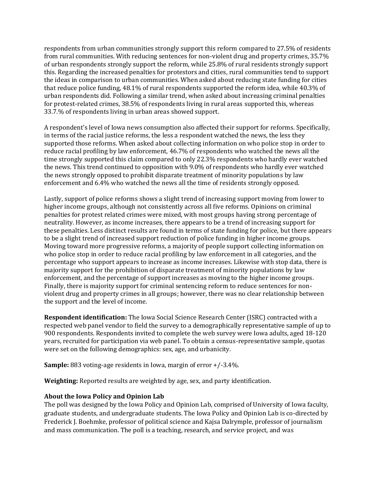respondents from urban communities strongly support this reform compared to 27.5% of residents from rural communities. With reducing sentences for non-violent drug and property crimes, 35.7% of urban respondents strongly support the reform, while 25.8% of rural residents strongly support this. Regarding the increased penalties for protestors and cities, rural communities tend to support the ideas in comparison to urban communities. When asked about reducing state funding for cities that reduce police funding, 48.1% of rural respondents supported the reform idea, while 40.3% of urban respondents did. Following a similar trend, when asked about increasing criminal penalties for protest-related crimes, 38.5% of respondents living in rural areas supported this, whereas 33.7.% of respondents living in urban areas showed support.

A respondent's level of Iowa news consumption also affected their support for reforms. Specifically, in terms of the racial justice reforms, the less a respondent watched the news, the less they supported those reforms. When asked about collecting information on who police stop in order to reduce racial profiling by law enforcement, 46.7% of respondents who watched the news all the time strongly supported this claim compared to only 22.3% respondents who hardly ever watched the news. This trend continued to opposition with 9.0% of respondents who hardly ever watched the news strongly opposed to prohibit disparate treatment of minority populations by law enforcement and 6.4% who watched the news all the time of residents strongly opposed.

Lastly, support of police reforms shows a slight trend of increasing support moving from lower to higher income groups, although not consistently across all five reforms. Opinions on criminal penalties for protest related crimes were mixed, with most groups having strong percentage of neutrality. However, as income increases, there appears to be a trend of increasing support for these penalties. Less distinct results are found in terms of state funding for police, but there appears to be a slight trend of increased support reduction of police funding in higher income groups. Moving toward more progressive reforms, a majority of people support collecting information on who police stop in order to reduce racial profiling by law enforcement in all categories, and the percentage who support appears to increase as income increases. Likewise with stop data, there is majority support for the prohibition of disparate treatment of minority populations by law enforcement, and the percentage of support increases as moving to the higher income groups. Finally, there is majority support for criminal sentencing reform to reduce sentences for nonviolent drug and property crimes in all groups; however, there was no clear relationship between the support and the level of income.

**Respondent identification:** The Iowa Social Science Research Center (ISRC) contracted with a respected web panel vendor to field the survey to a demographically representative sample of up to 900 respondents. Respondents invited to complete the web survey were Iowa adults, aged 18-120 years, recruited for participation via web panel. To obtain a census-representative sample, quotas were set on the following demographics: sex, age, and urbanicity.

**Sample:** 883 voting-age residents in Iowa, margin of error +/-3.4%.

**Weighting:** Reported results are weighted by age, sex, and party identification.

## **About the Iowa Policy and Opinion Lab**

The poll was designed by the Iowa Policy and Opinion Lab, comprised of University of Iowa faculty, graduate students, and undergraduate students. The Iowa Policy and Opinion Lab is co-directed by Frederick J. Boehmke, professor of political science and Kajsa Dalrymple, professor of journalism and mass communication. The poll is a teaching, research, and service project, and was